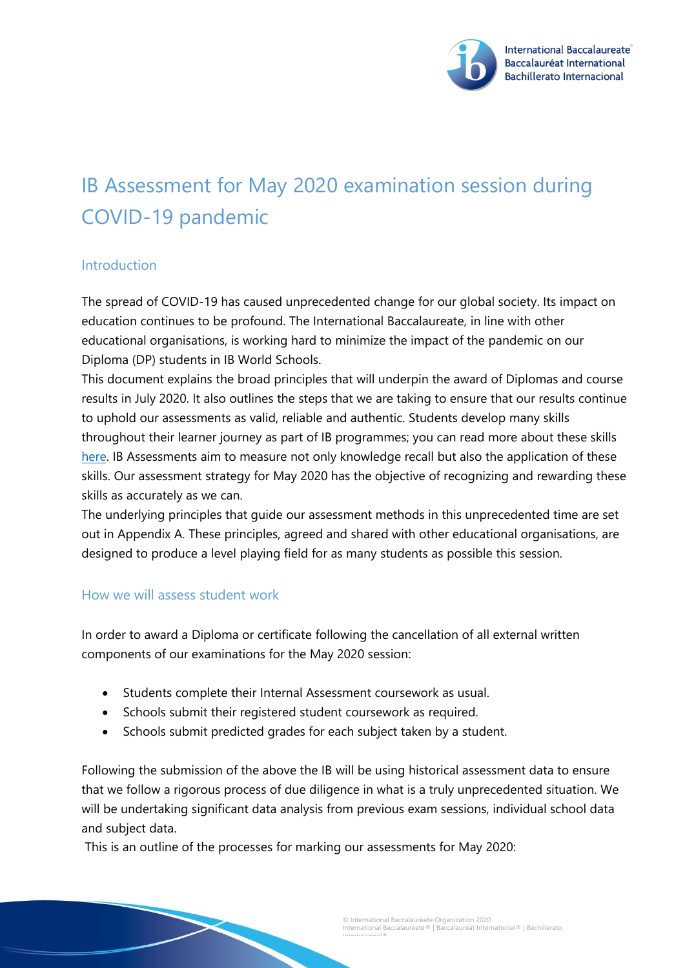

# IB Assessment for May 2020 examination session during COVID-19 pandemic

### Introduction

The spread of COVID-19 has caused unprecedented change for our global society. Its impact on education continues to be profound. The International Baccalaureate, in line with other educational organisations, is working hard to minimize the impact of the pandemic on our Diploma (DP) students in IB World Schools.

This document explains the broad principles that will underpin the award of Diplomas and course results in July 2020. It also outlines the steps that we are taking to ensure that our results continue to uphold our assessments as valid, reliable and authentic. Students develop many skills throughout their learner journey as part of IB programmes; you can read more about these skills [here.](https://resources.ibo.org/ib/topic/What-is-an-IB-education/works/edu_11162-58229?root=1.6.2.8.11&lang=en) IB Assessments aim to measure not only knowledge recall but also the application of these skills. Our assessment strategy for May 2020 has the objective of recognizing and rewarding these skills as accurately as we can.

The underlying principles that guide our assessment methods in this unprecedented time are set out in Appendix A. These principles, agreed and shared with other educational organisations, are designed to produce a level playing field for as many students as possible this session.

#### How we will assess student work

In order to award a Diploma or certificate following the cancellation of all external written components of our examinations for the May 2020 session:

- Students complete their Internal Assessment coursework as usual.
- Schools submit their registered student coursework as required.
- Schools submit predicted grades for each subject taken by a student.

Following the submission of the above the IB will be using historical assessment data to ensure that we follow a rigorous process of due diligence in what is a truly unprecedented situation. We will be undertaking significant data analysis from previous exam sessions, individual school data and subject data.

This is an outline of the processes for marking our assessments for May 2020: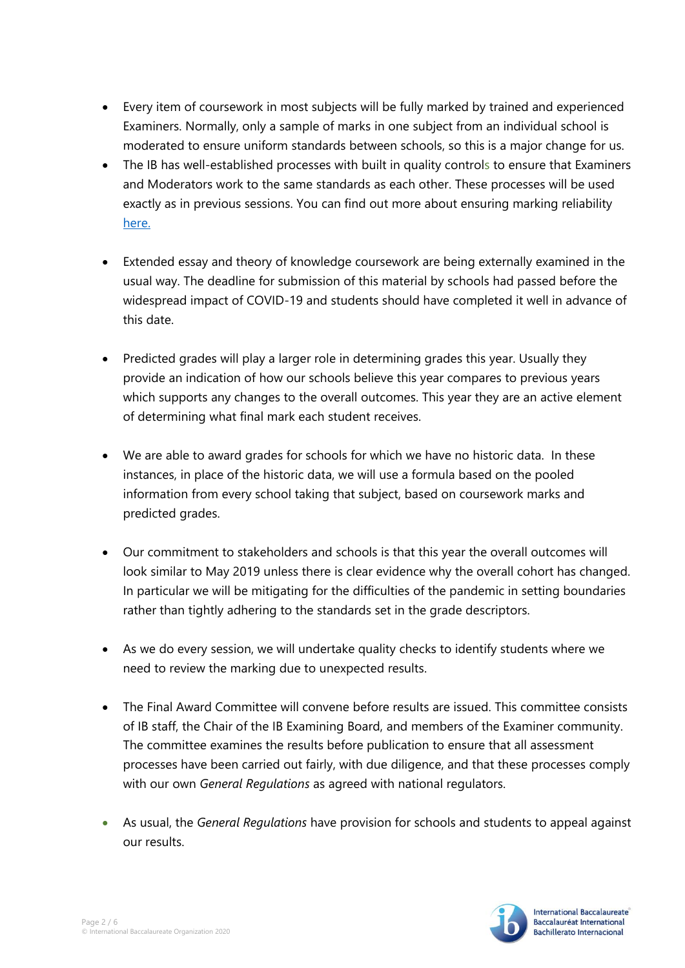- Every item of coursework in most subjects will be fully marked by trained and experienced Examiners. Normally, only a sample of marks in one subject from an individual school is moderated to ensure uniform standards between schools, so this is a major change for us.
- The IB has well-established processes with built in quality controls to ensure that Examiners and Moderators work to the same standards as each other. These processes will be used exactly as in previous sessions. You can find out more about ensuring marking reliability [here.](https://ibo.org/programmes/about-assessment/)
- Extended essay and theory of knowledge coursework are being externally examined in the usual way. The deadline for submission of this material by schools had passed before the widespread impact of COVID-19 and students should have completed it well in advance of this date.
- Predicted grades will play a larger role in determining grades this year. Usually they provide an indication of how our schools believe this year compares to previous years which supports any changes to the overall outcomes. This year they are an active element of determining what final mark each student receives.
- We are able to award grades for schools for which we have no historic data. In these instances, in place of the historic data, we will use a formula based on the pooled information from every school taking that subject, based on coursework marks and predicted grades.
- Our commitment to stakeholders and schools is that this year the overall outcomes will look similar to May 2019 unless there is clear evidence why the overall cohort has changed. In particular we will be mitigating for the difficulties of the pandemic in setting boundaries rather than tightly adhering to the standards set in the grade descriptors.
- As we do every session, we will undertake quality checks to identify students where we need to review the marking due to unexpected results.
- The Final Award Committee will convene before results are issued. This committee consists of IB staff, the Chair of the IB Examining Board, and members of the Examiner community. The committee examines the results before publication to ensure that all assessment processes have been carried out fairly, with due diligence, and that these processes comply with our own *General Regulations* as agreed with national regulators.
- As usual, the *General Regulations* have provision for schools and students to appeal against our results.

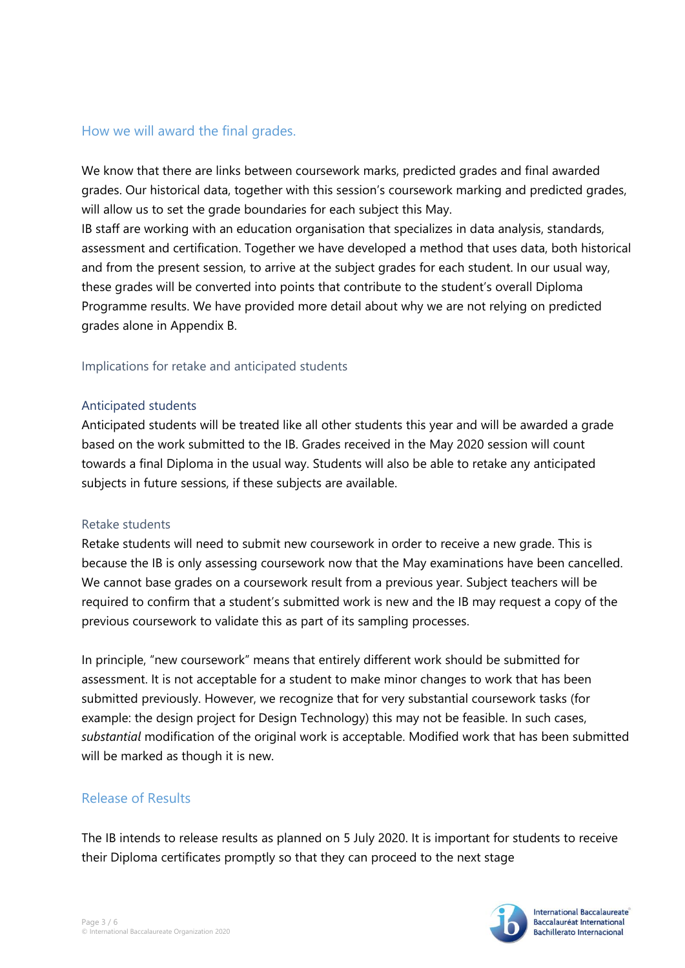#### How we will award the final grades.

We know that there are links between coursework marks, predicted grades and final awarded grades. Our historical data, together with this session's coursework marking and predicted grades, will allow us to set the grade boundaries for each subject this May.

IB staff are working with an education organisation that specializes in data analysis, standards, assessment and certification. Together we have developed a method that uses data, both historical and from the present session, to arrive at the subject grades for each student. In our usual way, these grades will be converted into points that contribute to the student's overall Diploma Programme results. We have provided more detail about why we are not relying on predicted grades alone in Appendix B.

#### Implications for retake and anticipated students

#### Anticipated students

Anticipated students will be treated like all other students this year and will be awarded a grade based on the work submitted to the IB. Grades received in the May 2020 session will count towards a final Diploma in the usual way. Students will also be able to retake any anticipated subjects in future sessions, if these subjects are available.

#### Retake students

Retake students will need to submit new coursework in order to receive a new grade. This is because the IB is only assessing coursework now that the May examinations have been cancelled. We cannot base grades on a coursework result from a previous year. Subject teachers will be required to confirm that a student's submitted work is new and the IB may request a copy of the previous coursework to validate this as part of its sampling processes.

In principle, "new coursework" means that entirely different work should be submitted for assessment. It is not acceptable for a student to make minor changes to work that has been submitted previously. However, we recognize that for very substantial coursework tasks (for example: the design project for Design Technology) this may not be feasible. In such cases, *substantial* modification of the original work is acceptable. Modified work that has been submitted will be marked as though it is new.

### Release of Results

The IB intends to release results as planned on 5 July 2020. It is important for students to receive their Diploma certificates promptly so that they can proceed to the next stage

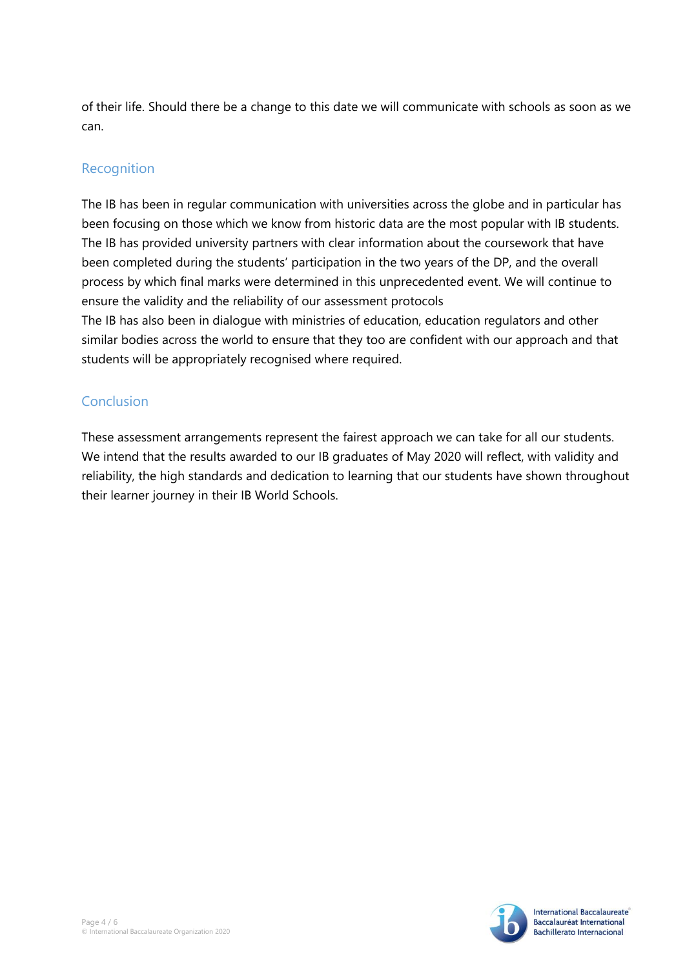of their life. Should there be a change to this date we will communicate with schools as soon as we can.

## Recognition

The IB has been in regular communication with universities across the globe and in particular has been focusing on those which we know from historic data are the most popular with IB students. The IB has provided university partners with clear information about the coursework that have been completed during the students' participation in the two years of the DP, and the overall process by which final marks were determined in this unprecedented event. We will continue to ensure the validity and the reliability of our assessment protocols The IB has also been in dialogue with ministries of education, education regulators and other similar bodies across the world to ensure that they too are confident with our approach and that students will be appropriately recognised where required.

## Conclusion

These assessment arrangements represent the fairest approach we can take for all our students. We intend that the results awarded to our IB graduates of May 2020 will reflect, with validity and reliability, the high standards and dedication to learning that our students have shown throughout their learner journey in their IB World Schools.

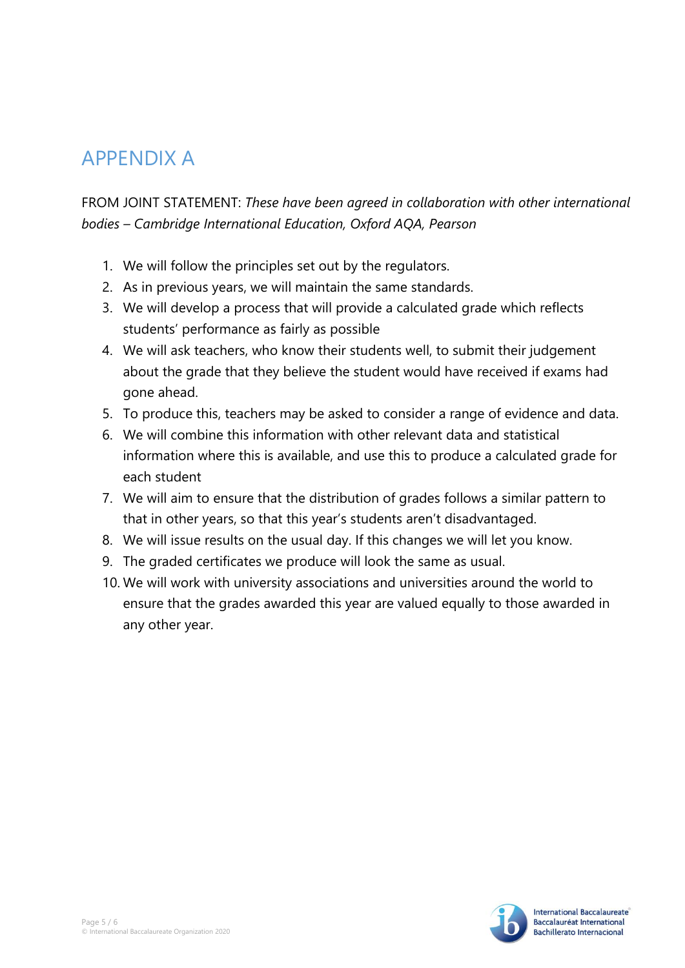## APPENDIX A

FROM JOINT STATEMENT: *These have been agreed in collaboration with other international bodies – Cambridge International Education, Oxford AQA, Pearson*

- 1. We will follow the principles set out by the regulators.
- 2. As in previous years, we will maintain the same standards.
- 3. We will develop a process that will provide a calculated grade which reflects students' performance as fairly as possible
- 4. We will ask teachers, who know their students well, to submit their judgement about the grade that they believe the student would have received if exams had gone ahead.
- 5. To produce this, teachers may be asked to consider a range of evidence and data.
- 6. We will combine this information with other relevant data and statistical information where this is available, and use this to produce a calculated grade for each student
- 7. We will aim to ensure that the distribution of grades follows a similar pattern to that in other years, so that this year's students aren't disadvantaged.
- 8. We will issue results on the usual day. If this changes we will let you know.
- 9. The graded certificates we produce will look the same as usual.
- 10. We will work with university associations and universities around the world to ensure that the grades awarded this year are valued equally to those awarded in any other year.